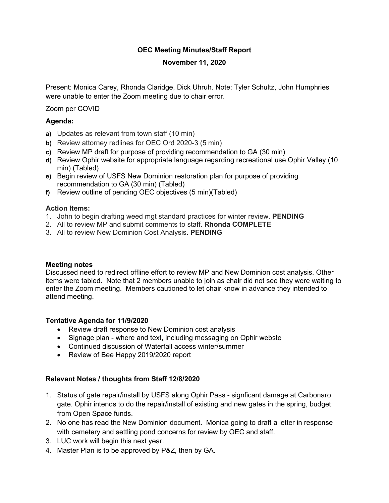# **OEC Meeting Minutes/Staff Report**

# **November 11, 2020**

Present: Monica Carey, Rhonda Claridge, Dick Uhruh. Note: Tyler Schultz, John Humphries were unable to enter the Zoom meeting due to chair error.

Zoom per COVID

# **Agenda:**

- **a)** Updates as relevant from town staff (10 min)
- **b)** Review attorney redlines for OEC Ord 2020-3 (5 min)
- **c)** Review MP draft for purpose of providing recommendation to GA (30 min)
- **d)** Review Ophir website for appropriate language regarding recreational use Ophir Valley (10 min) (Tabled)
- **e)** Begin review of USFS New Dominion restoration plan for purpose of providing recommendation to GA (30 min) (Tabled)
- **f)** Review outline of pending OEC objectives (5 min)(Tabled)

## **Action Items:**

- 1. John to begin drafting weed mgt standard practices for winter review. **PENDING**
- 2. All to review MP and submit comments to staff. **Rhonda COMPLETE**
- 3. All to review New Dominion Cost Analysis. **PENDING**

#### **Meeting notes**

Discussed need to redirect offline effort to review MP and New Dominion cost analysis. Other items were tabled. Note that 2 members unable to join as chair did not see they were waiting to enter the Zoom meeting. Members cautioned to let chair know in advance they intended to attend meeting.

## **Tentative Agenda for 11/9/2020**

- Review draft response to New Dominion cost analysis
- Signage plan where and text, including messaging on Ophir webste
- Continued discussion of Waterfall access winter/summer
- Review of Bee Happy 2019/2020 report

## **Relevant Notes / thoughts from Staff 12/8/2020**

- 1. Status of gate repair/install by USFS along Ophir Pass signficant damage at Carbonaro gate. Ophir intends to do the repair/install of existing and new gates in the spring, budget from Open Space funds.
- 2. No one has read the New Dominion document. Monica going to draft a letter in response with cemetery and settling pond concerns for review by OEC and staff.
- 3. LUC work will begin this next year.
- 4. Master Plan is to be approved by P&Z, then by GA.